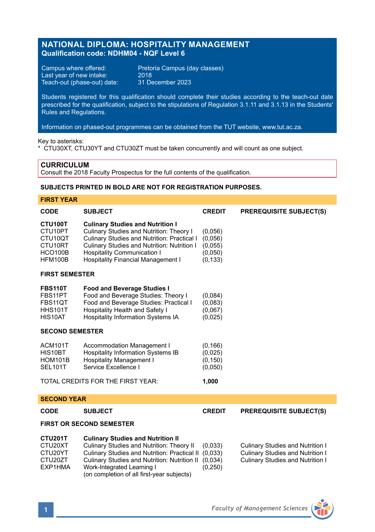# **NATIONAL DIPLOMA: HOSPITALITY MANAGEMENT Qualification code: NDHM04 - NQF Level 6**

Last year of new intake: 2018<br>Teach-out (phase-out) date: 31 December 2023 Teach-out (phase-out) date:

Campus where offered: Pretoria Campus (day classes)<br>Last year of new intake: 2018

Students registered for this qualification should complete their studies according to the teach-out date prescribed for the qualification, subject to the stipulations of Regulation 3.1.11 and 3.1.13 in the Students' Rules and Regulations.

Information on phased-out programmes can be obtained from the TUT website, www.tut.ac.za.

Key to asterisks:

\* CTU30XT, CTU30YT and CTU30ZT must be taken concurrently and will count as one subject.

# **CURRICULUM**

**FIRST YEAR**

Consult the 2018 Faculty Prospectus for the full contents of the qualification.

# **SUBJECTS PRINTED IN BOLD ARE NOT FOR REGISTRATION PURPOSES.**

| FIRƏL TEAR                                                                                    |                                                                                                                                                                                                                                                                      |                                                      |                                                                                                                               |  |  |
|-----------------------------------------------------------------------------------------------|----------------------------------------------------------------------------------------------------------------------------------------------------------------------------------------------------------------------------------------------------------------------|------------------------------------------------------|-------------------------------------------------------------------------------------------------------------------------------|--|--|
| <b>CODE</b>                                                                                   | <b>SUBJECT</b>                                                                                                                                                                                                                                                       | <b>CREDIT</b>                                        | <b>PREREQUISITE SUBJECT(S)</b>                                                                                                |  |  |
| CTU100T<br>CTU10PT<br>CTU <sub>10QT</sub><br>CTU <sub>10RT</sub><br><b>HCO100B</b><br>HFM100B | <b>Culinary Studies and Nutrition I</b><br>Culinary Studies and Nutrition: Theory I<br>Culinary Studies and Nutrition: Practical I<br>Culinary Studies and Nutrition: Nutrition I<br><b>Hospitality Communication I</b><br><b>Hospitality Financial Management I</b> | (0,056)<br>(0,056)<br>(0,055)<br>(0,050)<br>(0, 133) |                                                                                                                               |  |  |
| <b>FIRST SEMESTER</b>                                                                         |                                                                                                                                                                                                                                                                      |                                                      |                                                                                                                               |  |  |
| <b>FBS110T</b><br>FBS11PT<br>FBS11QT<br><b>HHS101T</b><br>HIS10AT                             | <b>Food and Beverage Studies I</b><br>Food and Beverage Studies: Theory I<br>Food and Beverage Studies: Practical I<br>Hospitality Health and Safety I<br><b>Hospitality Information Systems IA</b>                                                                  | (0,084)<br>(0,083)<br>(0,067)<br>(0,025)             |                                                                                                                               |  |  |
| <b>SECOND SEMESTER</b>                                                                        |                                                                                                                                                                                                                                                                      |                                                      |                                                                                                                               |  |  |
| ACM101T<br>HIS10BT<br><b>HOM101B</b><br><b>SEL101T</b>                                        | <b>Accommodation Management I</b><br><b>Hospitality Information Systems IB</b><br><b>Hospitality Management I</b><br>Service Excellence I                                                                                                                            | (0, 166)<br>(0,025)<br>(0, 150)<br>(0,050)           |                                                                                                                               |  |  |
|                                                                                               | TOTAL CREDITS FOR THE FIRST YEAR:                                                                                                                                                                                                                                    | 1,000                                                |                                                                                                                               |  |  |
| <b>SECOND YEAR</b>                                                                            |                                                                                                                                                                                                                                                                      |                                                      |                                                                                                                               |  |  |
| <b>CODE</b>                                                                                   | <b>SUBJECT</b>                                                                                                                                                                                                                                                       | <b>CREDIT</b>                                        | <b>PREREQUISITE SUBJECT(S)</b>                                                                                                |  |  |
| <b>FIRST OR SECOND SEMESTER</b>                                                               |                                                                                                                                                                                                                                                                      |                                                      |                                                                                                                               |  |  |
| CTU201T<br>CTU20XT<br>CTU20YT<br>CTU <sub>20</sub> ZT<br>EXP1HMA                              | <b>Culinary Studies and Nutrition II</b><br>Culinary Studies and Nutrition: Theory II<br>Culinary Studies and Nutrition: Practical II<br>Culinary Studies and Nutrition: Nutrition II<br>Work-Integrated Learning I<br>(on completion of all first-year subjects)    | (0,033)<br>(0,033)<br>(0,034)<br>(0, 250)            | <b>Culinary Studies and Nutrition I</b><br><b>Culinary Studies and Nutrition I</b><br><b>Culinary Studies and Nutrition I</b> |  |  |

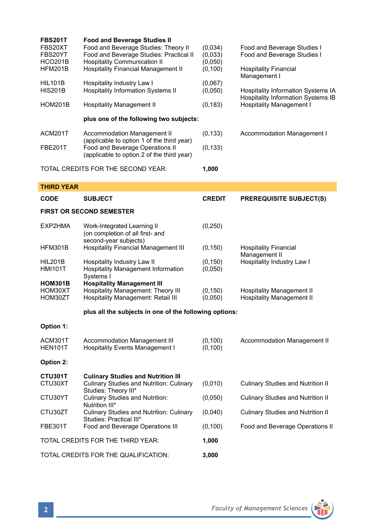| <b>FBS201T</b><br>FBS20XT<br>FBS20YT<br><b>HCO201B</b><br>HFM201B | <b>Food and Beverage Studies II</b><br>Food and Beverage Studies: Theory II<br>Food and Beverage Studies: Practical II<br><b>Hospitality Communication II</b><br><b>Hospitality Financial Management II</b> | (0,034)<br>(0,033)<br>(0,050)<br>(0, 100) | Food and Beverage Studies I<br>Food and Beverage Studies I<br><b>Hospitality Financial</b><br>Management I  |
|-------------------------------------------------------------------|-------------------------------------------------------------------------------------------------------------------------------------------------------------------------------------------------------------|-------------------------------------------|-------------------------------------------------------------------------------------------------------------|
| <b>HIL101B</b><br><b>HIS201B</b>                                  | Hospitality Industry Law I<br>Hospitality Information Systems II                                                                                                                                            | (0,067)<br>(0,050)                        | Hospitality Information Systems IA<br>Hospitality Information Systems IB<br><b>Hospitality Management I</b> |
| <b>HOM201B</b>                                                    | <b>Hospitality Management II</b>                                                                                                                                                                            | (0, 183)                                  |                                                                                                             |
|                                                                   | plus one of the following two subjects:                                                                                                                                                                     |                                           |                                                                                                             |
| ACM201T                                                           | Accommodation Management II                                                                                                                                                                                 | (0, 133)                                  | Accommodation Management I                                                                                  |
| <b>FBE201T</b>                                                    | (applicable to option 1 of the third year)<br>Food and Beverage Operations II<br>(applicable to option 2 of the third year)                                                                                 | (0, 133)                                  |                                                                                                             |
|                                                                   | TOTAL CREDITS FOR THE SECOND YEAR:                                                                                                                                                                          | 1,000                                     |                                                                                                             |
| <b>THIRD YEAR</b>                                                 |                                                                                                                                                                                                             |                                           |                                                                                                             |
| <b>CODE</b>                                                       | <b>SUBJECT</b>                                                                                                                                                                                              | <b>CREDIT</b>                             | <b>PREREQUISITE SUBJECT(S)</b>                                                                              |
|                                                                   | <b>FIRST OR SECOND SEMESTER</b>                                                                                                                                                                             |                                           |                                                                                                             |
| EXP2HMA                                                           | Work-Integrated Learning II<br>(on completion of all first- and<br>second-year subjects)                                                                                                                    | (0, 250)                                  |                                                                                                             |
| HFM301B                                                           | <b>Hospitality Financial Management III</b>                                                                                                                                                                 | (0, 150)                                  | <b>Hospitality Financial</b><br>Management II                                                               |
| <b>HIL201B</b><br><b>HMI101T</b>                                  | Hospitality Industry Law II<br>Hospitality Management Information<br>Systems I                                                                                                                              | (0, 150)<br>(0,050)                       | Hospitality Industry Law I                                                                                  |
| <b>HOM301B</b><br>HOM30XT<br>HOM30ZT                              | <b>Hospitality Management III</b><br>Hospitality Management: Theory III<br>Hospitality Management: Retail III                                                                                               | (0, 150)<br>(0,050)                       | <b>Hospitality Management II</b><br><b>Hospitality Management II</b>                                        |
|                                                                   | plus all the subjects in one of the following options:                                                                                                                                                      |                                           |                                                                                                             |
| Option 1:                                                         |                                                                                                                                                                                                             |                                           |                                                                                                             |
| ACM301T<br>HEN101T                                                | Accommodation Management III<br><b>Hospitality Events Management I</b>                                                                                                                                      | (0, 100)<br>(0, 100)                      | Accommodation Management II                                                                                 |
| Option 2:                                                         |                                                                                                                                                                                                             |                                           |                                                                                                             |
| CTU301T<br>CTU30XT                                                | <b>Culinary Studies and Nutrition III</b><br><b>Culinary Studies and Nutrition: Culinary</b><br>Studies: Theory III*                                                                                        | (0,010)                                   | <b>Culinary Studies and Nutrition II</b>                                                                    |
| CTU30YT                                                           | <b>Culinary Studies and Nutrition:</b><br>Nutrition III*                                                                                                                                                    | (0,050)                                   | <b>Culinary Studies and Nutrition II</b>                                                                    |
| CTU30ZT                                                           | Culinary Studies and Nutrition: Culinary<br>Studies: Practical III*                                                                                                                                         | (0,040)                                   | <b>Culinary Studies and Nutrition II</b>                                                                    |
| <b>FBE301T</b>                                                    | Food and Beverage Operations III                                                                                                                                                                            | (0, 100)                                  | Food and Beverage Operations II                                                                             |
| TOTAL CREDITS FOR THE THIRD YEAR:                                 |                                                                                                                                                                                                             | 1,000                                     |                                                                                                             |
| TOTAL CREDITS FOR THE QUALIFICATION:                              |                                                                                                                                                                                                             | 3,000                                     |                                                                                                             |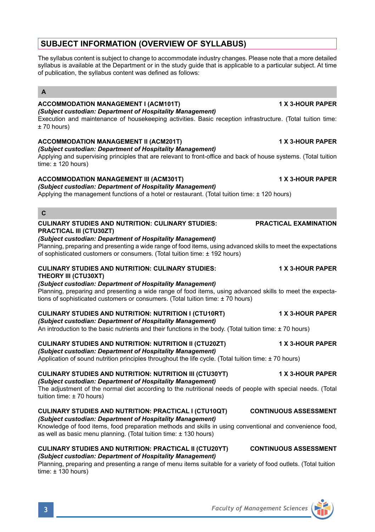# **SUBJECT INFORMATION (OVERVIEW OF SYLLABUS)**

The syllabus content is subject to change to accommodate industry changes. Please note that a more detailed syllabus is available at the Department or in the study guide that is applicable to a particular subject. At time of publication, the syllabus content was defined as follows:

# **A**

### **ACCOMMODATION MANAGEMENT I (ACM101T) 1 X 3-HOUR PAPER** *(Subject custodian: Department of Hospitality Management)*

Execution and maintenance of housekeeping activities. Basic reception infrastructure. (Total tuition time: ± 70 hours)

### **ACCOMMODATION MANAGEMENT II (ACM201T) 1 X 3-HOUR PAPER**

*(Subject custodian: Department of Hospitality Management)* Applying and supervising principles that are relevant to front-office and back of house systems. (Total tuition time:  $\pm$  120 hours)

### **ACCOMMODATION MANAGEMENT III (ACM301T) 1 X 3-HOUR PAPER**

*(Subject custodian: Department of Hospitality Management)* Applying the management functions of a hotel or restaurant. (Total tuition time: ± 120 hours)

**C**

### **CULINARY STUDIES AND NUTRITION: CULINARY STUDIES: PRACTICAL EXAMINATION PRACTICAL III (CTU30ZT)**

### *(Subject custodian: Department of Hospitality Management)*

Planning, preparing and presenting a wide range of food items, using advanced skills to meet the expectations of sophisticated customers or consumers. (Total tuition time: ± 192 hours)

# **CULINARY STUDIES AND NUTRITION: CULINARY STUDIES: 1 X 3-HOUR PAPER**

# **THEORY III (CTU30XT)**

*(Subject custodian: Department of Hospitality Management)* Planning, preparing and presenting a wide range of food items, using advanced skills to meet the expectations of sophisticated customers or consumers. (Total tuition time: ± 70 hours)

## **CULINARY STUDIES AND NUTRITION: NUTRITION I (CTU10RT) 1 X 3-HOUR PAPER**

### *(Subject custodian: Department of Hospitality Management)*

An introduction to the basic nutrients and their functions in the body. (Total tuition time: ± 70 hours)

# **CULINARY STUDIES AND NUTRITION: NUTRITION II (CTU20ZT) 1 X 3-HOUR PAPER**

*(Subject custodian: Department of Hospitality Management)*

Application of sound nutrition principles throughout the life cycle. (Total tuition time: ± 70 hours)

### **CULINARY STUDIES AND NUTRITION: NUTRITION III (CTU30YT) 1 X 3-HOUR PAPER** *(Subject custodian: Department of Hospitality Management)*

The adjustment of the normal diet according to the nutritional needs of people with special needs. (Total tuition time: ± 70 hours)

### **CULINARY STUDIES AND NUTRITION: PRACTICAL I (CTU10QT) CONTINUOUS ASSESSMENT** *(Subject custodian: Department of Hospitality Management)*

Knowledge of food items, food preparation methods and skills in using conventional and convenience food, as well as basic menu planning. (Total tuition time: ± 130 hours)

### **CULINARY STUDIES AND NUTRITION: PRACTICAL II (CTU20YT) CONTINUOUS ASSESSMENT** *(Subject custodian: Department of Hospitality Management)*

Planning, preparing and presenting a range of menu items suitable for a variety of food outlets. (Total tuition time:  $\pm$  130 hours)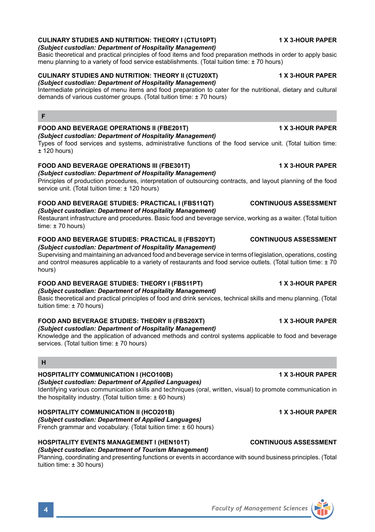# **CULINARY STUDIES AND NUTRITION: THEORY I (CTU10PT) 1 X 3-HOUR PAPER**

# *(Subject custodian: Department of Hospitality Management)*

Basic theoretical and practical principles of food items and food preparation methods in order to apply basic menu planning to a variety of food service establishments. (Total tuition time: ± 70 hours)

### **CULINARY STUDIES AND NUTRITION: THEORY II (CTU20XT) 1 X 3-HOUR PAPER** *(Subject custodian: Department of Hospitality Management)*

Intermediate principles of menu items and food preparation to cater for the nutritional, dietary and cultural demands of various customer groups. (Total tuition time: ± 70 hours)

# **F**

### **FOOD AND BEVERAGE OPERATIONS II (FBE201T) 1 X 3-HOUR PAPER**

*(Subject custodian: Department of Hospitality Management)*

Types of food services and systems, administrative functions of the food service unit. (Total tuition time:  $+120$  hours)

### **FOOD AND BEVERAGE OPERATIONS III (FBE301T) 1 X 3-HOUR PAPER**

*(Subject custodian: Department of Hospitality Management)*

Principles of production procedures, interpretation of outsourcing contracts, and layout planning of the food service unit. (Total tuition time: ± 120 hours)

### **FOOD AND BEVERAGE STUDIES: PRACTICAL I (FBS11QT) CONTINUOUS ASSESSMENT** *(Subject custodian: Department of Hospitality Management)*

Restaurant infrastructure and procedures. Basic food and beverage service, working as a waiter. (Total tuition  $time: +70 hours$ 

# **FOOD AND BEVERAGE STUDIES: PRACTICAL II (FBS20YT) CONTINUOUS ASSESSMENT**

*(Subject custodian: Department of Hospitality Management)*

Supervising and maintaining an advanced food and beverage service in terms of legislation, operations, costing and control measures applicable to a variety of restaurants and food service outlets. (Total tuition time: ± 70 hours)

## **FOOD AND BEVERAGE STUDIES: THEORY I (FBS11PT) 1 X 3-HOUR PAPER**

*(Subject custodian: Department of Hospitality Management)*

Basic theoretical and practical principles of food and drink services, technical skills and menu planning. (Total tuition time: ± 70 hours)

## **FOOD AND BEVERAGE STUDIES: THEORY II (FBS20XT) 1 X 3-HOUR PAPER**

### *(Subject custodian: Department of Hospitality Management)* Knowledge and the application of advanced methods and control systems applicable to food and beverage

services. (Total tuition time: ± 70 hours)

### **H**

# **HOSPITALITY COMMUNICATION I (HCO100B) 1 X 3-HOUR PAPER**

# *(Subject custodian: Department of Applied Languages)*

Identifying various communication skills and techniques (oral, written, visual) to promote communication in the hospitality industry. (Total tuition time: ± 60 hours)

# **HOSPITALITY COMMUNICATION II (HCO201B) 1 X 3-HOUR PAPER**

*(Subject custodian: Department of Applied Languages)* French grammar and vocabulary. (Total tuition time: ± 60 hours)

# **HOSPITALITY EVENTS MANAGEMENT I (HEN101T) CONTINUOUS ASSESSMENT**

*(Subject custodian: Department of Tourism Management)*

Planning, coordinating and presenting functions or events in accordance with sound business principles. (Total tuition time: ± 30 hours)

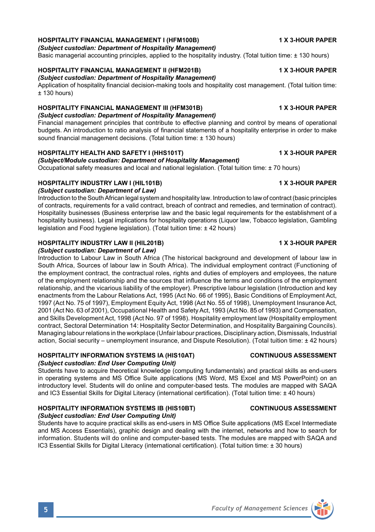## **HOSPITALITY FINANCIAL MANAGEMENT I (HFM100B) 1 X 3-HOUR PAPER**

*(Subject custodian: Department of Hospitality Management)*

Basic managerial accounting principles, applied to the hospitality industry. (Total tuition time: ± 130 hours)

# **HOSPITALITY FINANCIAL MANAGEMENT II (HFM201B) 1 X 3-HOUR PAPER**

*(Subject custodian: Department of Hospitality Management)*

Application of hospitality financial decision-making tools and hospitality cost management. (Total tuition time:  $± 130$  hours)

# **HOSPITALITY FINANCIAL MANAGEMENT III (HFM301B) 1 X 3-HOUR PAPER**

*(Subject custodian: Department of Hospitality Management)*

Financial management principles that contribute to effective planning and control by means of operational budgets. An introduction to ratio analysis of financial statements of a hospitality enterprise in order to make sound financial management decisions. (Total tuition time: ± 130 hours)

### **HOSPITALITY HEALTH AND SAFETY I (HHS101T) 1 X 3-HOUR PAPER**

# *(Subject/Module custodian: Department of Hospitality Management)*

Occupational safety measures and local and national legislation. (Total tuition time: ± 70 hours)

### **HOSPITALITY INDUSTRY LAW I (HIL101B) 1 X 3-HOUR PAPER**

*(Subject custodian: Department of Law)*

Introduction to the South African legal system and hospitality law. Introduction to law of contract (basic principles of contracts, requirements for a valid contract, breach of contract and remedies, and termination of contract). Hospitality businesses (Business enterprise law and the basic legal requirements for the establishment of a hospitality business). Legal implications for hospitality operations (Liquor law, Tobacco legislation, Gambling legislation and Food hygiene legislation). (Total tuition time: ± 42 hours)

### **HOSPITALITY INDUSTRY LAW II (HIL201B) 1 X 3-HOUR PAPER**

*(Subject custodian: Department of Law)*

Introduction to Labour Law in South Africa (The historical background and development of labour law in South Africa, Sources of labour law in South Africa). The individual employment contract (Functioning of the employment contract, the contractual roles, rights and duties of employers and employees, the nature of the employment relationship and the sources that influence the terms and conditions of the employment relationship, and the vicarious liability of the employer). Prescriptive labour legislation (Introduction and key enactments from the Labour Relations Act, 1995 (Act No. 66 of 1995), Basic Conditions of Employment Act, 1997 (Act No. 75 of 1997), Employment Equity Act, 1998 (Act No. 55 of 1998), Unemployment Insurance Act, 2001 (Act No. 63 of 2001), Occupational Health and Safety Act, 1993 (Act No. 85 of 1993) and Compensation, and Skills Development Act, 1998 (Act No. 97 of 1998). Hospitality employment law (Hospitality employment contract, Sectoral Determination 14: Hospitality Sector Determination, and Hospitality Bargaining Councils). Managing labour relations in the workplace (Unfair labour practices, Disciplinary action, Dismissals, Industrial action, Social security – unemployment insurance, and Dispute Resolution). (Total tuition time: ± 42 hours)

### **HOSPITALITY INFORMATION SYSTEMS IA (HIS10AT) CONTINUOUS ASSESSMENT** *(Subject custodian: End User Computing Unit)*

Students have to acquire theoretical knowledge (computing fundamentals) and practical skills as end-users in operating systems and MS Office Suite applications (MS Word, MS Excel and MS PowerPoint) on an introductory level. Students will do online and computer-based tests. The modules are mapped with SAQA and IC3 Essential Skills for Digital Literacy (international certification). (Total tuition time: ± 40 hours)

## **HOSPITALITY INFORMATION SYSTEMS IB (HIS10BT) CONTINUOUS ASSESSMENT**

### *(Subject custodian: End User Computing Unit)*

Students have to acquire practical skills as end-users in MS Office Suite applications (MS Excel Intermediate and MS Access Essentials), graphic design and dealing with the internet, networks and how to search for information. Students will do online and computer-based tests. The modules are mapped with SAQA and IC3 Essential Skills for Digital Literacy (international certification). (Total tuition time: ± 30 hours)